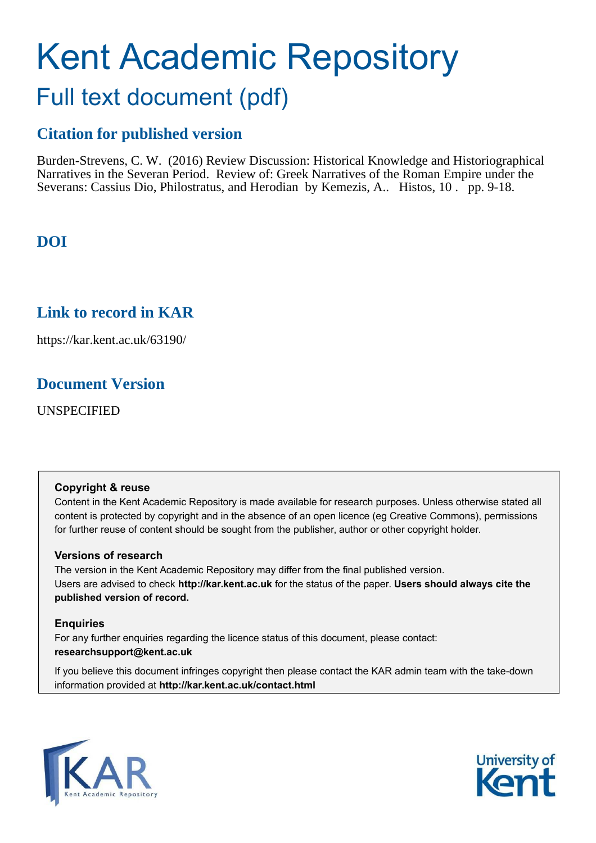# Kent Academic Repository Full text document (pdf)

## **Citation for published version**

Burden-Strevens, C. W. (2016) Review Discussion: Historical Knowledge and Historiographical Narratives in the Severan Period. Review of: Greek Narratives of the Roman Empire under the Severans: Cassius Dio, Philostratus, and Herodian by Kemezis, A.. Histos, 10 . pp. 9-18.

## **DOI**

## **Link to record in KAR**

https://kar.kent.ac.uk/63190/

## **Document Version**

UNSPECIFIED

#### **Copyright & reuse**

Content in the Kent Academic Repository is made available for research purposes. Unless otherwise stated all content is protected by copyright and in the absence of an open licence (eg Creative Commons), permissions for further reuse of content should be sought from the publisher, author or other copyright holder.

#### **Versions of research**

The version in the Kent Academic Repository may differ from the final published version. Users are advised to check **http://kar.kent.ac.uk** for the status of the paper. **Users should always cite the published version of record.**

#### **Enquiries**

For any further enquiries regarding the licence status of this document, please contact: **researchsupport@kent.ac.uk**

If you believe this document infringes copyright then please contact the KAR admin team with the take-down information provided at **http://kar.kent.ac.uk/contact.html**



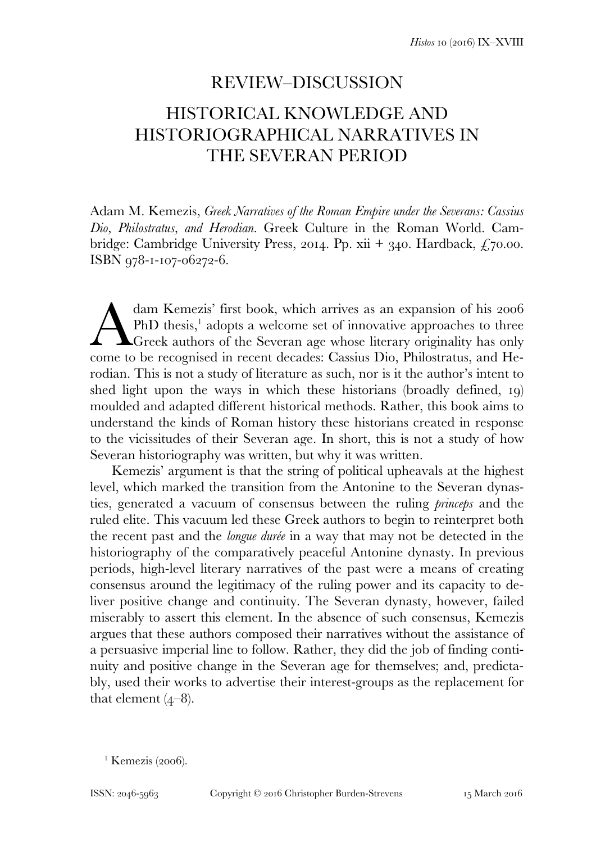## REVIEW–DISCUSSION HISTORICAL KNOWLEDGE AND HISTORIOGRAPHICAL NARRATIVES IN THE SEVERAN PERIOD

Adam M. Kemezis, *Greek Narratives of the Roman Empire under the Severans: Cassius Dio, Philostratus, and Herodian.* Greek Culture in the Roman World. Cambridge: Cambridge University Press, 2014. Pp. xii + 340. Hardback,  $\zeta$ 70.00. ISBN 978-1-107-06272-6.

dam Kemezis' first book, which arrives as an expansion of his 2006 PhD thesis,<sup>1</sup> adopts a welcome set of innovative approaches to three **A** Greek authors of the Severan age whose literary originality has only dam Kemezis' first book, which arrives as an expansion of his 2006<br>PhD thesis,<sup>1</sup> adopts a welcome set of innovative approaches to three<br>Greek authors of the Severan age whose literary originality has only<br>come to be recog rodian. This is not a study of literature as such, nor is it the author's intent to shed light upon the ways in which these historians (broadly defined, 19) moulded and adapted different historical methods. Rather, this book aims to understand the kinds of Roman history these historians created in response to the vicissitudes of their Severan age. In short, this is not a study of how Severan historiography was written, but why it was written.

 Kemezis' argument is that the string of political upheavals at the highest level, which marked the transition from the Antonine to the Severan dynasties, generated a vacuum of consensus between the ruling *princeps* and the ruled elite. This vacuum led these Greek authors to begin to reinterpret both the recent past and the *longue durée* in a way that may not be detected in the historiography of the comparatively peaceful Antonine dynasty. In previous periods, high-level literary narratives of the past were a means of creating consensus around the legitimacy of the ruling power and its capacity to deliver positive change and continuity. The Severan dynasty, however, failed miserably to assert this element. In the absence of such consensus, Kemezis argues that these authors composed their narratives without the assistance of a persuasive imperial line to follow. Rather, they did the job of finding continuity and positive change in the Severan age for themselves; and, predictably, used their works to advertise their interest-groups as the replacement for that element  $(4-8)$ .

 $\frac{1}{1}$  Kemezis (2006).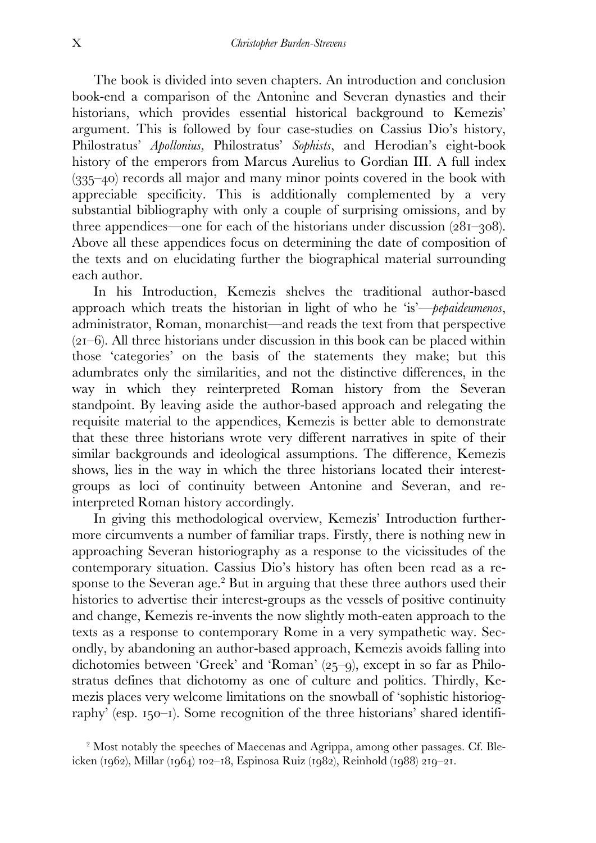The book is divided into seven chapters. An introduction and conclusion book-end a comparison of the Antonine and Severan dynasties and their historians, which provides essential historical background to Kemezis' argument. This is followed by four case-studies on Cassius Dio's history, Philostratus' *Apollonius,* Philostratus' *Sophists*, and Herodian's eight-book history of the emperors from Marcus Aurelius to Gordian III. A full index (335–40) records all major and many minor points covered in the book with appreciable specificity. This is additionally complemented by a very substantial bibliography with only a couple of surprising omissions, and by three appendices—one for each of the historians under discussion (281–308). Above all these appendices focus on determining the date of composition of the texts and on elucidating further the biographical material surrounding each author.

 In his Introduction, Kemezis shelves the traditional author-based approach which treats the historian in light of who he 'is'—*pepaideumenos*, administrator, Roman, monarchist—and reads the text from that perspective (21–6). All three historians under discussion in this book can be placed within those 'categories' on the basis of the statements they make; but this adumbrates only the similarities, and not the distinctive differences, in the way in which they reinterpreted Roman history from the Severan standpoint. By leaving aside the author-based approach and relegating the requisite material to the appendices, Kemezis is better able to demonstrate that these three historians wrote very different narratives in spite of their similar backgrounds and ideological assumptions. The difference, Kemezis shows, lies in the way in which the three historians located their interestgroups as loci of continuity between Antonine and Severan, and reinterpreted Roman history accordingly.

 In giving this methodological overview, Kemezis' Introduction furthermore circumvents a number of familiar traps. Firstly, there is nothing new in approaching Severan historiography as a response to the vicissitudes of the contemporary situation. Cassius Dio's history has often been read as a response to the Severan age.<sup>2</sup> But in arguing that these three authors used their histories to advertise their interest-groups as the vessels of positive continuity and change, Kemezis re-invents the now slightly moth-eaten approach to the texts as a response to contemporary Rome in a very sympathetic way. Secondly, by abandoning an author-based approach, Kemezis avoids falling into dichotomies between 'Greek' and 'Roman' (25–9), except in so far as Philostratus defines that dichotomy as one of culture and politics. Thirdly, Kemezis places very welcome limitations on the snowball of 'sophistic historiography' (esp. 150–1). Some recognition of the three historians' shared identifi-

<sup>2</sup> Most notably the speeches of Maecenas and Agrippa, among other passages. Cf. Bleicken (1962), Millar (1964) 102–18, Espinosa Ruiz (1982), Reinhold (1988) 219–21.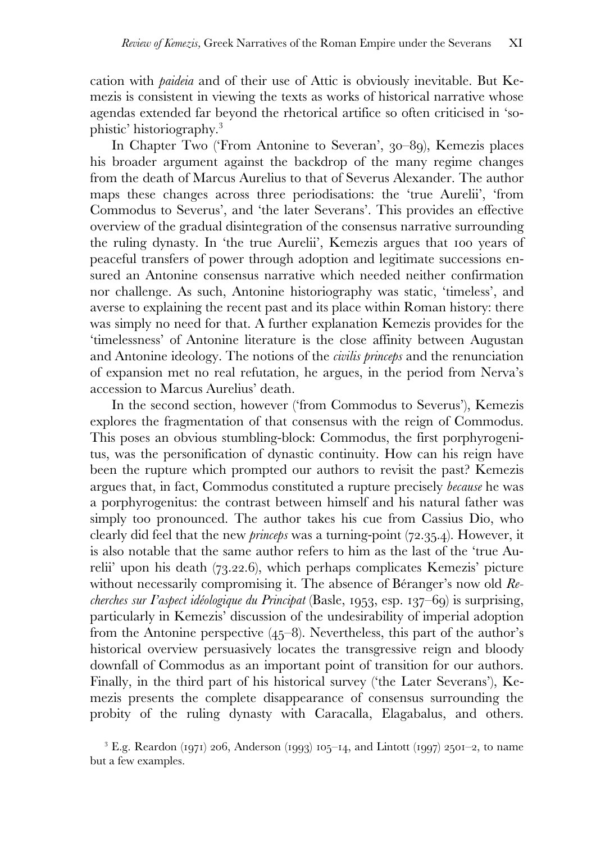cation with *paideia* and of their use of Attic is obviously inevitable. But Kemezis is consistent in viewing the texts as works of historical narrative whose agendas extended far beyond the rhetorical artifice so often criticised in 'sophistic' historiography.<sup>3</sup>

 In Chapter Two ('From Antonine to Severan', 30–89), Kemezis places his broader argument against the backdrop of the many regime changes from the death of Marcus Aurelius to that of Severus Alexander. The author maps these changes across three periodisations: the 'true Aurelii', 'from Commodus to Severus', and 'the later Severans'. This provides an effective overview of the gradual disintegration of the consensus narrative surrounding the ruling dynasty. In 'the true Aurelii', Kemezis argues that 100 years of peaceful transfers of power through adoption and legitimate successions ensured an Antonine consensus narrative which needed neither confirmation nor challenge. As such, Antonine historiography was static, 'timeless', and averse to explaining the recent past and its place within Roman history: there was simply no need for that. A further explanation Kemezis provides for the 'timelessness' of Antonine literature is the close affinity between Augustan and Antonine ideology. The notions of the *civilis princeps* and the renunciation of expansion met no real refutation, he argues, in the period from Nerva's accession to Marcus Aurelius' death.

 In the second section, however ('from Commodus to Severus'), Kemezis explores the fragmentation of that consensus with the reign of Commodus. This poses an obvious stumbling-block: Commodus, the first porphyrogenitus, was the personification of dynastic continuity. How can his reign have been the rupture which prompted our authors to revisit the past? Kemezis argues that, in fact, Commodus constituted a rupture precisely *because* he was a porphyrogenitus: the contrast between himself and his natural father was simply too pronounced. The author takes his cue from Cassius Dio, who clearly did feel that the new *princeps* was a turning-point (72.35.4). However, it is also notable that the same author refers to him as the last of the 'true Aurelii' upon his death (73.22.6), which perhaps complicates Kemezis' picture without necessarily compromising it. The absence of Béranger's now old *Recherches sur I'aspect idéologique du Principat* (Basle, 1953, esp. 137–69) is surprising, particularly in Kemezis' discussion of the undesirability of imperial adoption from the Antonine perspective  $(45-8)$ . Nevertheless, this part of the author's historical overview persuasively locates the transgressive reign and bloody downfall of Commodus as an important point of transition for our authors. Finally, in the third part of his historical survey ('the Later Severans'), Kemezis presents the complete disappearance of consensus surrounding the probity of the ruling dynasty with Caracalla, Elagabalus, and others.

<sup>&</sup>lt;sup>3</sup> E.g. Reardon (1971) 206, Anderson (1993) 105–14, and Lintott (1997) 2501–2, to name but a few examples.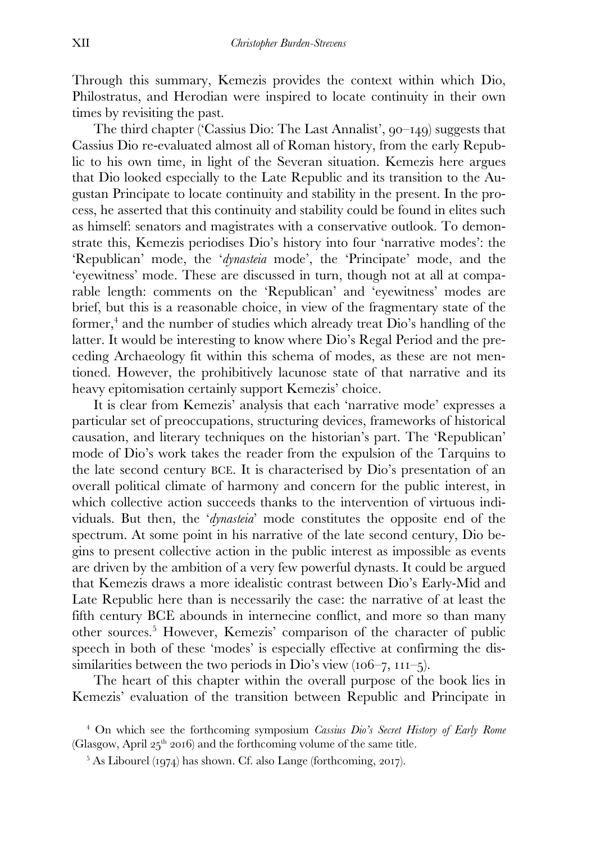Through this summary, Kemezis provides the context within which Dio, Philostratus, and Herodian were inspired to locate continuity in their own times by revisiting the past.

 The third chapter ('Cassius Dio: The Last Annalist', 90–149) suggests that Cassius Dio re-evaluated almost all of Roman history, from the early Republic to his own time, in light of the Severan situation. Kemezis here argues that Dio looked especially to the Late Republic and its transition to the Augustan Principate to locate continuity and stability in the present. In the process, he asserted that this continuity and stability could be found in elites such as himself: senators and magistrates with a conservative outlook. To demonstrate this, Kemezis periodises Dio's history into four 'narrative modes': the 'Republican' mode, the '*dynasteia* mode', the 'Principate' mode, and the 'eyewitness' mode. These are discussed in turn, though not at all at comparable length: comments on the 'Republican' and 'eyewitness' modes are brief, but this is a reasonable choice, in view of the fragmentary state of the former,<sup>4</sup> and the number of studies which already treat Dio's handling of the latter. It would be interesting to know where Dio's Regal Period and the preceding Archaeology fit within this schema of modes, as these are not mentioned. However, the prohibitively lacunose state of that narrative and its heavy epitomisation certainly support Kemezis' choice.

 It is clear from Kemezis' analysis that each 'narrative mode' expresses a particular set of preoccupations, structuring devices, frameworks of historical causation, and literary techniques on the historian's part. The 'Republican' mode of Dio's work takes the reader from the expulsion of the Tarquins to the late second century BCE. It is characterised by Dio's presentation of an overall political climate of harmony and concern for the public interest, in which collective action succeeds thanks to the intervention of virtuous individuals. But then, the '*dynasteia*' mode constitutes the opposite end of the spectrum. At some point in his narrative of the late second century, Dio begins to present collective action in the public interest as impossible as events are driven by the ambition of a very few powerful dynasts. It could be argued that Kemezis draws a more idealistic contrast between Dio's Early-Mid and Late Republic here than is necessarily the case: the narrative of at least the fifth century BCE abounds in internecine conflict, and more so than many other sources.<sup>5</sup> However, Kemezis' comparison of the character of public speech in both of these 'modes' is especially effective at confirming the dissimilarities between the two periods in Dio's view  $(106–7, 111–5)$ .

 The heart of this chapter within the overall purpose of the book lies in Kemezis' evaluation of the transition between Republic and Principate in

<sup>4</sup> On which see the forthcoming symposium *Cassius Dio's Secret History of Early Rome*  (Glasgow, April  $25<sup>th</sup>$  2016) and the forthcoming volume of the same title.

<sup>5</sup> As Libourel (1974) has shown. Cf. also Lange (forthcoming, 2017).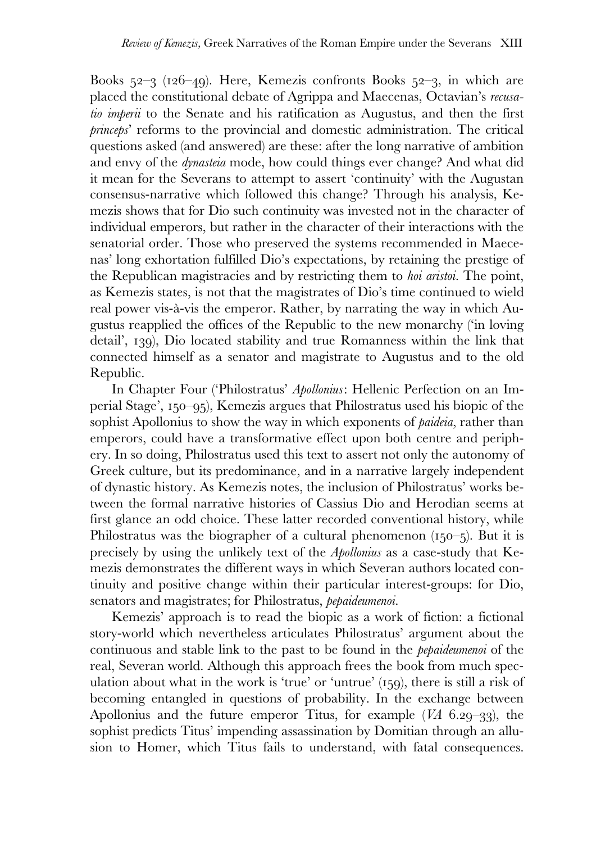Books 52–3 (126–49). Here, Kemezis confronts Books 52–3, in which are placed the constitutional debate of Agrippa and Maecenas, Octavian's *recusatio imperii* to the Senate and his ratification as Augustus, and then the first *princeps*' reforms to the provincial and domestic administration. The critical questions asked (and answered) are these: after the long narrative of ambition and envy of the *dynasteia* mode, how could things ever change? And what did it mean for the Severans to attempt to assert 'continuity' with the Augustan consensus-narrative which followed this change? Through his analysis, Kemezis shows that for Dio such continuity was invested not in the character of individual emperors, but rather in the character of their interactions with the senatorial order. Those who preserved the systems recommended in Maecenas' long exhortation fulfilled Dio's expectations, by retaining the prestige of the Republican magistracies and by restricting them to *hoi aristoi*. The point, as Kemezis states, is not that the magistrates of Dio's time continued to wield real power vis-à-vis the emperor. Rather, by narrating the way in which Augustus reapplied the offices of the Republic to the new monarchy ('in loving detail', 139), Dio located stability and true Romanness within the link that connected himself as a senator and magistrate to Augustus and to the old Republic.

 In Chapter Four ('Philostratus' *Apollonius*: Hellenic Perfection on an Imperial Stage', 150–95), Kemezis argues that Philostratus used his biopic of the sophist Apollonius to show the way in which exponents of *paideia*, rather than emperors, could have a transformative effect upon both centre and periphery. In so doing, Philostratus used this text to assert not only the autonomy of Greek culture, but its predominance, and in a narrative largely independent of dynastic history. As Kemezis notes, the inclusion of Philostratus' works between the formal narrative histories of Cassius Dio and Herodian seems at first glance an odd choice. These latter recorded conventional history, while Philostratus was the biographer of a cultural phenomenon  $(150-5)$ . But it is precisely by using the unlikely text of the *Apollonius* as a case-study that Kemezis demonstrates the different ways in which Severan authors located continuity and positive change within their particular interest-groups: for Dio, senators and magistrates; for Philostratus, *pepaideumenoi*.

 Kemezis' approach is to read the biopic as a work of fiction: a fictional story-world which nevertheless articulates Philostratus' argument about the continuous and stable link to the past to be found in the *pepaideumenoi* of the real, Severan world. Although this approach frees the book from much speculation about what in the work is 'true' or 'untrue' (159), there is still a risk of becoming entangled in questions of probability. In the exchange between Apollonius and the future emperor Titus, for example (*VA* 6.29–33), the sophist predicts Titus' impending assassination by Domitian through an allusion to Homer, which Titus fails to understand, with fatal consequences.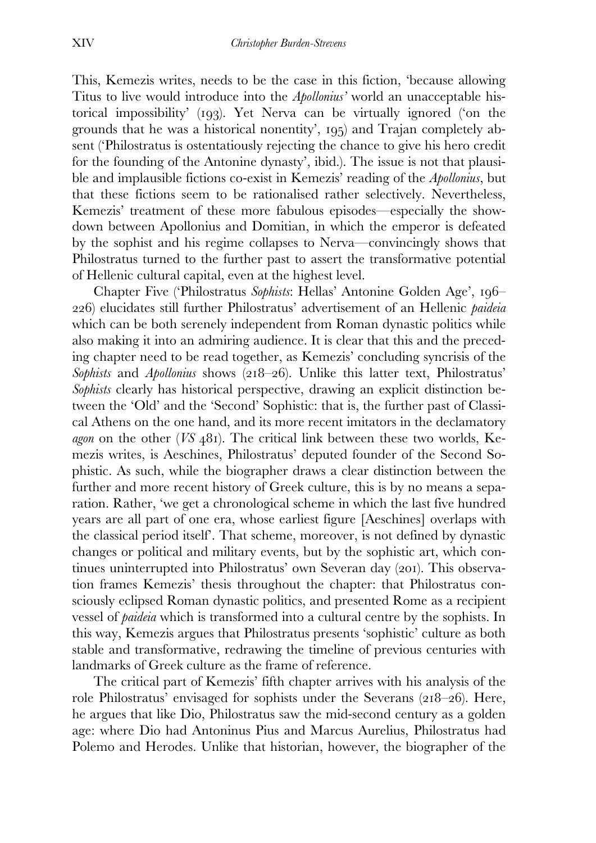This, Kemezis writes, needs to be the case in this fiction, 'because allowing Titus to live would introduce into the *Apollonius'* world an unacceptable historical impossibility' (193). Yet Nerva can be virtually ignored ('on the grounds that he was a historical nonentity', 195) and Trajan completely absent ('Philostratus is ostentatiously rejecting the chance to give his hero credit for the founding of the Antonine dynasty', ibid.). The issue is not that plausible and implausible fictions co-exist in Kemezis' reading of the *Apollonius*, but that these fictions seem to be rationalised rather selectively. Nevertheless, Kemezis' treatment of these more fabulous episodes—especially the showdown between Apollonius and Domitian, in which the emperor is defeated by the sophist and his regime collapses to Nerva—convincingly shows that Philostratus turned to the further past to assert the transformative potential of Hellenic cultural capital, even at the highest level.

 Chapter Five ('Philostratus *Sophists*: Hellas' Antonine Golden Age', 196– 226) elucidates still further Philostratus' advertisement of an Hellenic *paideia*  which can be both serenely independent from Roman dynastic politics while also making it into an admiring audience. It is clear that this and the preceding chapter need to be read together, as Kemezis' concluding syncrisis of the *Sophists* and *Apollonius* shows (218–26). Unlike this latter text, Philostratus' *Sophists* clearly has historical perspective, drawing an explicit distinction between the 'Old' and the 'Second' Sophistic: that is, the further past of Classical Athens on the one hand, and its more recent imitators in the declamatory *agon* on the other (*VS* 481). The critical link between these two worlds, Kemezis writes, is Aeschines, Philostratus' deputed founder of the Second Sophistic. As such, while the biographer draws a clear distinction between the further and more recent history of Greek culture, this is by no means a separation. Rather, 'we get a chronological scheme in which the last five hundred years are all part of one era, whose earliest figure [Aeschines] overlaps with the classical period itself'. That scheme, moreover, is not defined by dynastic changes or political and military events, but by the sophistic art, which continues uninterrupted into Philostratus' own Severan day (201). This observation frames Kemezis' thesis throughout the chapter: that Philostratus consciously eclipsed Roman dynastic politics, and presented Rome as a recipient vessel of *paideia* which is transformed into a cultural centre by the sophists. In this way, Kemezis argues that Philostratus presents 'sophistic' culture as both stable and transformative, redrawing the timeline of previous centuries with landmarks of Greek culture as the frame of reference.

 The critical part of Kemezis' fifth chapter arrives with his analysis of the role Philostratus' envisaged for sophists under the Severans (218–26). Here, he argues that like Dio, Philostratus saw the mid-second century as a golden age: where Dio had Antoninus Pius and Marcus Aurelius, Philostratus had Polemo and Herodes. Unlike that historian, however, the biographer of the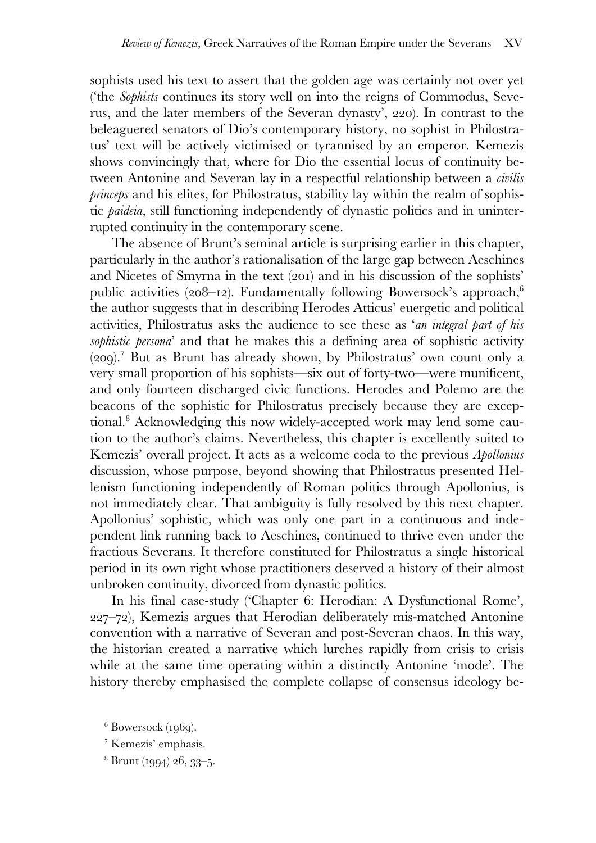sophists used his text to assert that the golden age was certainly not over yet ('the *Sophists* continues its story well on into the reigns of Commodus, Severus, and the later members of the Severan dynasty', 220). In contrast to the beleaguered senators of Dio's contemporary history, no sophist in Philostratus' text will be actively victimised or tyrannised by an emperor. Kemezis shows convincingly that, where for Dio the essential locus of continuity between Antonine and Severan lay in a respectful relationship between a *civilis princeps* and his elites, for Philostratus, stability lay within the realm of sophistic *paideia*, still functioning independently of dynastic politics and in uninterrupted continuity in the contemporary scene.

 The absence of Brunt's seminal article is surprising earlier in this chapter, particularly in the author's rationalisation of the large gap between Aeschines and Nicetes of Smyrna in the text (201) and in his discussion of the sophists' public activities (208–12). Fundamentally following Bowersock's approach,<sup>6</sup> the author suggests that in describing Herodes Atticus' euergetic and political activities, Philostratus asks the audience to see these as '*an integral part of his sophistic persona*' and that he makes this a defining area of sophistic activity (209).<sup>7</sup> But as Brunt has already shown, by Philostratus' own count only a very small proportion of his sophists—six out of forty-two—were munificent, and only fourteen discharged civic functions. Herodes and Polemo are the beacons of the sophistic for Philostratus precisely because they are exceptional.<sup>8</sup> Acknowledging this now widely-accepted work may lend some caution to the author's claims. Nevertheless, this chapter is excellently suited to Kemezis' overall project. It acts as a welcome coda to the previous *Apollonius*  discussion, whose purpose, beyond showing that Philostratus presented Hellenism functioning independently of Roman politics through Apollonius, is not immediately clear. That ambiguity is fully resolved by this next chapter. Apollonius' sophistic, which was only one part in a continuous and independent link running back to Aeschines, continued to thrive even under the fractious Severans. It therefore constituted for Philostratus a single historical period in its own right whose practitioners deserved a history of their almost unbroken continuity, divorced from dynastic politics.

 In his final case-study ('Chapter 6: Herodian: A Dysfunctional Rome', 227–72), Kemezis argues that Herodian deliberately mis-matched Antonine convention with a narrative of Severan and post-Severan chaos. In this way, the historian created a narrative which lurches rapidly from crisis to crisis while at the same time operating within a distinctly Antonine 'mode'. The history thereby emphasised the complete collapse of consensus ideology be-

<sup>6</sup> Bowersock (1969).

<sup>7</sup> Kemezis' emphasis.

<sup>&</sup>lt;sup>8</sup> Brunt (1994) 26, 33–5.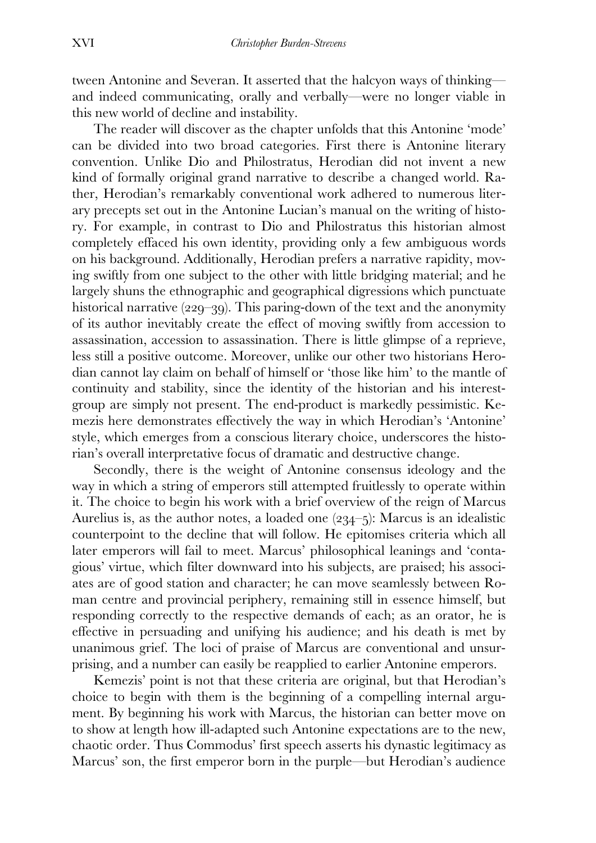tween Antonine and Severan. It asserted that the halcyon ways of thinking and indeed communicating, orally and verbally—were no longer viable in this new world of decline and instability.

 The reader will discover as the chapter unfolds that this Antonine 'mode' can be divided into two broad categories. First there is Antonine literary convention. Unlike Dio and Philostratus, Herodian did not invent a new kind of formally original grand narrative to describe a changed world. Rather, Herodian's remarkably conventional work adhered to numerous literary precepts set out in the Antonine Lucian's manual on the writing of history. For example, in contrast to Dio and Philostratus this historian almost completely effaced his own identity, providing only a few ambiguous words on his background. Additionally, Herodian prefers a narrative rapidity, moving swiftly from one subject to the other with little bridging material; and he largely shuns the ethnographic and geographical digressions which punctuate historical narrative (229–39). This paring-down of the text and the anonymity of its author inevitably create the effect of moving swiftly from accession to assassination, accession to assassination. There is little glimpse of a reprieve, less still a positive outcome. Moreover, unlike our other two historians Herodian cannot lay claim on behalf of himself or 'those like him' to the mantle of continuity and stability, since the identity of the historian and his interestgroup are simply not present. The end-product is markedly pessimistic. Kemezis here demonstrates effectively the way in which Herodian's 'Antonine' style, which emerges from a conscious literary choice, underscores the historian's overall interpretative focus of dramatic and destructive change.

 Secondly, there is the weight of Antonine consensus ideology and the way in which a string of emperors still attempted fruitlessly to operate within it. The choice to begin his work with a brief overview of the reign of Marcus Aurelius is, as the author notes, a loaded one (234–5): Marcus is an idealistic counterpoint to the decline that will follow. He epitomises criteria which all later emperors will fail to meet. Marcus' philosophical leanings and 'contagious' virtue, which filter downward into his subjects, are praised; his associates are of good station and character; he can move seamlessly between Roman centre and provincial periphery, remaining still in essence himself, but responding correctly to the respective demands of each; as an orator, he is effective in persuading and unifying his audience; and his death is met by unanimous grief. The loci of praise of Marcus are conventional and unsurprising, and a number can easily be reapplied to earlier Antonine emperors.

 Kemezis' point is not that these criteria are original, but that Herodian's choice to begin with them is the beginning of a compelling internal argument. By beginning his work with Marcus, the historian can better move on to show at length how ill-adapted such Antonine expectations are to the new, chaotic order. Thus Commodus' first speech asserts his dynastic legitimacy as Marcus' son, the first emperor born in the purple—but Herodian's audience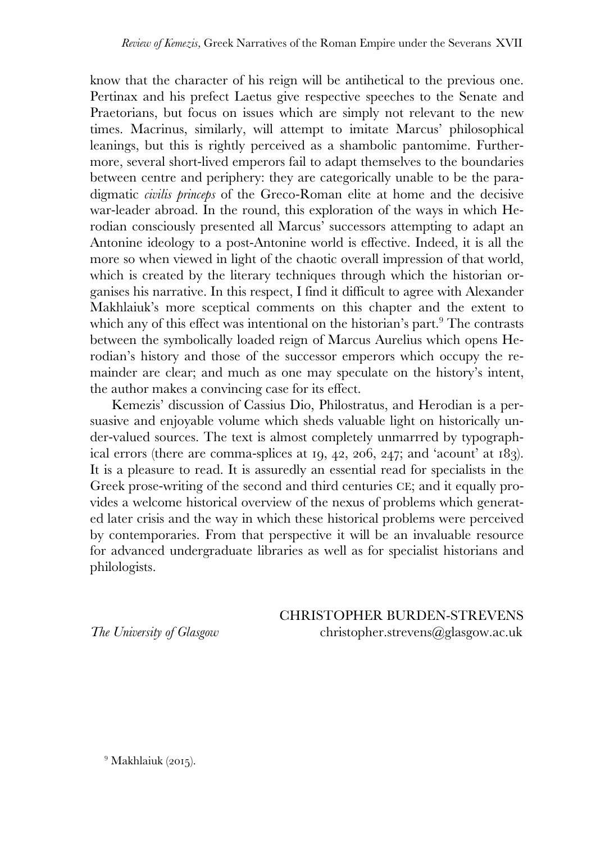know that the character of his reign will be antihetical to the previous one. Pertinax and his prefect Laetus give respective speeches to the Senate and Praetorians, but focus on issues which are simply not relevant to the new times. Macrinus, similarly, will attempt to imitate Marcus' philosophical leanings, but this is rightly perceived as a shambolic pantomime. Furthermore, several short-lived emperors fail to adapt themselves to the boundaries between centre and periphery: they are categorically unable to be the paradigmatic *civilis princeps* of the Greco-Roman elite at home and the decisive war-leader abroad. In the round, this exploration of the ways in which Herodian consciously presented all Marcus' successors attempting to adapt an Antonine ideology to a post-Antonine world is effective. Indeed, it is all the more so when viewed in light of the chaotic overall impression of that world, which is created by the literary techniques through which the historian organises his narrative. In this respect, I find it difficult to agree with Alexander Makhlaiuk's more sceptical comments on this chapter and the extent to which any of this effect was intentional on the historian's part.<sup>9</sup> The contrasts between the symbolically loaded reign of Marcus Aurelius which opens Herodian's history and those of the successor emperors which occupy the remainder are clear; and much as one may speculate on the history's intent, the author makes a convincing case for its effect.

 Kemezis' discussion of Cassius Dio, Philostratus, and Herodian is a persuasive and enjoyable volume which sheds valuable light on historically under-valued sources. The text is almost completely unmarrred by typographical errors (there are comma-splices at 19, 42, 206, 247; and 'acount' at 183). It is a pleasure to read. It is assuredly an essential read for specialists in the Greek prose-writing of the second and third centuries CE; and it equally provides a welcome historical overview of the nexus of problems which generated later crisis and the way in which these historical problems were perceived by contemporaries. From that perspective it will be an invaluable resource for advanced undergraduate libraries as well as for specialist historians and philologists.

CHRISTOPHER BURDEN-STREVENS *The University of Glasgow* christopher.strevens@glasgow.ac.uk

<sup>9</sup> Makhlaiuk (2015).